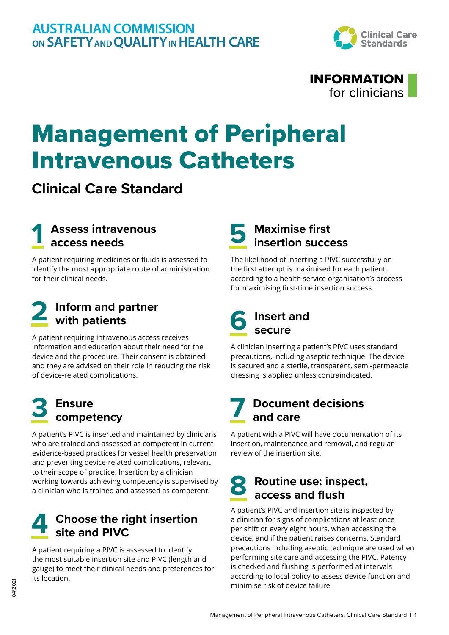



## Management of Peripheral Intravenous Catheters

## **Clinical Care Standard**

## **1 Assess intravenous access needs**

A patient requiring medicines or fluids is assessed to identify the most appropriate route of administration for their clinical needs.

# **2 Inform and partner with patients**

A patient requiring intravenous access receives information and education about their need for the device and the procedure. Their consent is obtained and they are advised on their role in reducing the risk of device‑related complications.

# **3 Ensure competency**

A patient's PIVC is inserted and maintained by clinicians who are trained and assessed as competent in current evidence-based practices for vessel health preservation and preventing device-related complications, relevant to their scope of practice. Insertion by a clinician working towards achieving competency is supervised by a clinician who is trained and assessed as competent.

## **4 Choose the right insertion site and PIVC**

A patient requiring a PIVC is assessed to identify the most suitable insertion site and PIVC (length and gauge) to meet their clinical needs and preferences for its location.

# **5 Maximise first insertion success**

The likelihood of inserting a PIVC successfully on the first attempt is maximised for each patient, according to a health service organisation's process for maximising first-time insertion success.

### **6 Insert and secure**

A clinician inserting a patient's PIVC uses standard precautions, including aseptic technique. The device is secured and a sterile, transparent, semi-permeable dressing is applied unless contraindicated.

## **7 Document decisions and care**

A patient with a PIVC will have documentation of its insertion, maintenance and removal, and regular review of the insertion site.

### **8 Routine use: inspect, access and flush**

A patient's PIVC and insertion site is inspected by a clinician for signs of complications at least once per shift or every eight hours, when accessing the device, and if the patient raises concerns. Standard precautions including aseptic technique are used when performing site care and accessing the PIVC. Patency is checked and flushing is performed at intervals according to local policy to assess device function and minimise risk of device failure.